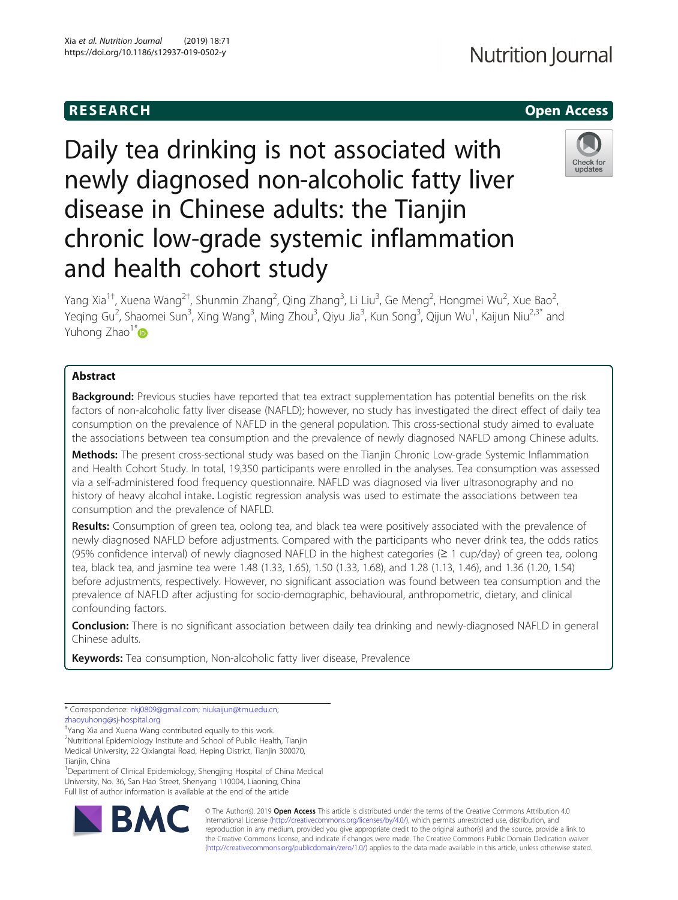# R E S EAR CH Open Access

# Daily tea drinking is not associated with newly diagnosed non-alcoholic fatty liver disease in Chinese adults: the Tianjin chronic low-grade systemic inflammation and health cohort study

Yang Xia<sup>1†</sup>, Xuena Wang<sup>2†</sup>, Shunmin Zhang<sup>2</sup>, Qing Zhang<sup>3</sup>, Li Liu<sup>3</sup>, Ge Meng<sup>2</sup>, Hongmei Wu<sup>2</sup>, Xue Bao<sup>2</sup> .<br>, Yeqing Gu<sup>2</sup>, Shaomei Sun<sup>3</sup>, Xing Wang<sup>3</sup>, Ming Zhou<sup>3</sup>, Qiyu Jia<sup>3</sup>, Kun Song<sup>3</sup>, Qijun Wu<sup>1</sup>, Kaijun Niu<sup>2,3\*</sup> and Yuhong Zhao<sup>1\*</sup>

# Abstract

Background: Previous studies have reported that tea extract supplementation has potential benefits on the risk factors of non-alcoholic fatty liver disease (NAFLD); however, no study has investigated the direct effect of daily tea consumption on the prevalence of NAFLD in the general population. This cross-sectional study aimed to evaluate the associations between tea consumption and the prevalence of newly diagnosed NAFLD among Chinese adults.

Methods: The present cross-sectional study was based on the Tianjin Chronic Low-grade Systemic Inflammation and Health Cohort Study. In total, 19,350 participants were enrolled in the analyses. Tea consumption was assessed via a self-administered food frequency questionnaire. NAFLD was diagnosed via liver ultrasonography and no history of heavy alcohol intake. Logistic regression analysis was used to estimate the associations between tea consumption and the prevalence of NAFLD.

Results: Consumption of green tea, oolong tea, and black tea were positively associated with the prevalence of newly diagnosed NAFLD before adjustments. Compared with the participants who never drink tea, the odds ratios (95% confidence interval) of newly diagnosed NAFLD in the highest categories (≥ 1 cup/day) of green tea, oolong tea, black tea, and jasmine tea were 1.48 (1.33, 1.65), 1.50 (1.33, 1.68), and 1.28 (1.13, 1.46), and 1.36 (1.20, 1.54) before adjustments, respectively. However, no significant association was found between tea consumption and the prevalence of NAFLD after adjusting for socio-demographic, behavioural, anthropometric, dietary, and clinical confounding factors.

Conclusion: There is no significant association between daily tea drinking and newly-diagnosed NAFLD in general Chinese adults.

Keywords: Tea consumption, Non-alcoholic fatty liver disease, Prevalence

\* Correspondence: [nkj0809@gmail.com](mailto:nkj0809@gmail.com); [niukaijun@tmu.edu.cn;](mailto:niukaijun@tmu.edu.cn) [zhaoyuhong@sj-hospital.org](mailto:zhaoyuhong@sj-hospital.org)

† Yang Xia and Xuena Wang contributed equally to this work.

2 Nutritional Epidemiology Institute and School of Public Health, Tianjin Medical University, 22 Qixiangtai Road, Heping District, Tianjin 300070,

Tianjin, China <sup>1</sup>Department of Clinical Epidemiology, Shengjing Hospital of China Medical University, No. 36, San Hao Street, Shenyang 110004, Liaoning, China Full list of author information is available at the end of the article





© The Author(s). 2019 **Open Access** This article is distributed under the terms of the Creative Commons Attribution 4.0 International License [\(http://creativecommons.org/licenses/by/4.0/](http://creativecommons.org/licenses/by/4.0/)), which permits unrestricted use, distribution, and reproduction in any medium, provided you give appropriate credit to the original author(s) and the source, provide a link to the Creative Commons license, and indicate if changes were made. The Creative Commons Public Domain Dedication waiver [\(http://creativecommons.org/publicdomain/zero/1.0/](http://creativecommons.org/publicdomain/zero/1.0/)) applies to the data made available in this article, unless otherwise stated.



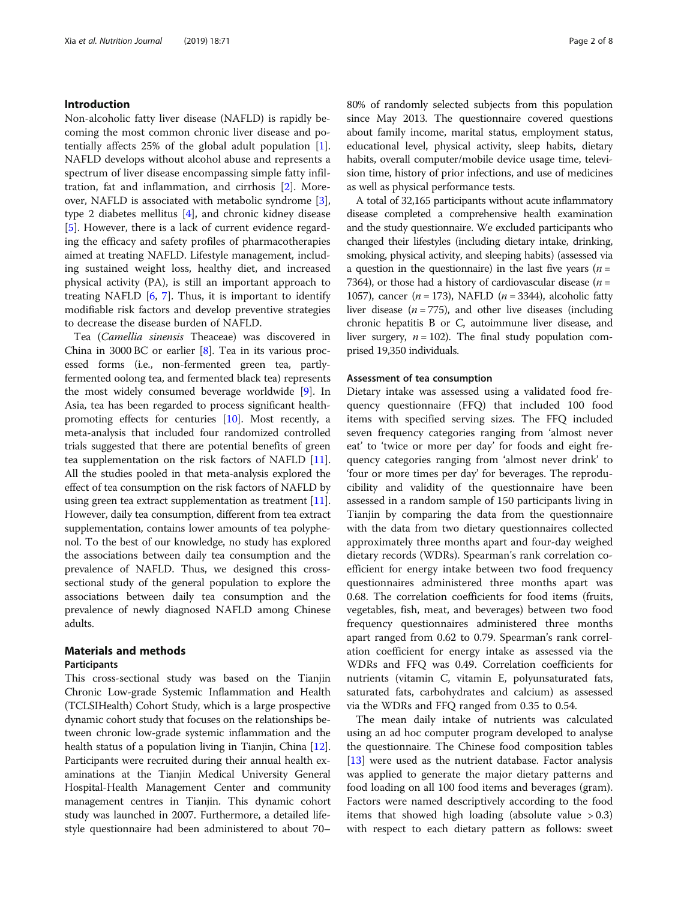### Introduction

Non-alcoholic fatty liver disease (NAFLD) is rapidly becoming the most common chronic liver disease and potentially affects 25% of the global adult population  $[1]$  $[1]$ . NAFLD develops without alcohol abuse and represents a spectrum of liver disease encompassing simple fatty infiltration, fat and inflammation, and cirrhosis [[2\]](#page-6-0). Moreover, NAFLD is associated with metabolic syndrome [\[3](#page-6-0)], type 2 diabetes mellitus [\[4](#page-6-0)], and chronic kidney disease [[5\]](#page-6-0). However, there is a lack of current evidence regarding the efficacy and safety profiles of pharmacotherapies aimed at treating NAFLD. Lifestyle management, including sustained weight loss, healthy diet, and increased physical activity (PA), is still an important approach to treating NAFLD  $[6, 7]$  $[6, 7]$  $[6, 7]$  $[6, 7]$ . Thus, it is important to identify modifiable risk factors and develop preventive strategies to decrease the disease burden of NAFLD.

Tea (Camellia sinensis Theaceae) was discovered in China in 3000 BC or earlier [\[8](#page-6-0)]. Tea in its various processed forms (i.e., non-fermented green tea, partlyfermented oolong tea, and fermented black tea) represents the most widely consumed beverage worldwide [[9\]](#page-6-0). In Asia, tea has been regarded to process significant healthpromoting effects for centuries [[10\]](#page-6-0). Most recently, a meta-analysis that included four randomized controlled trials suggested that there are potential benefits of green tea supplementation on the risk factors of NAFLD [[11](#page-6-0)]. All the studies pooled in that meta-analysis explored the effect of tea consumption on the risk factors of NAFLD by using green tea extract supplementation as treatment [[11](#page-6-0)]. However, daily tea consumption, different from tea extract supplementation, contains lower amounts of tea polyphenol. To the best of our knowledge, no study has explored the associations between daily tea consumption and the prevalence of NAFLD. Thus, we designed this crosssectional study of the general population to explore the associations between daily tea consumption and the prevalence of newly diagnosed NAFLD among Chinese adults.

### Materials and methods

#### Participants

This cross-sectional study was based on the Tianjin Chronic Low-grade Systemic Inflammation and Health (TCLSIHealth) Cohort Study, which is a large prospective dynamic cohort study that focuses on the relationships between chronic low-grade systemic inflammation and the health status of a population living in Tianjin, China [[12](#page-6-0)]. Participants were recruited during their annual health examinations at the Tianjin Medical University General Hospital-Health Management Center and community management centres in Tianjin. This dynamic cohort study was launched in 2007. Furthermore, a detailed lifestyle questionnaire had been administered to about 70– 80% of randomly selected subjects from this population since May 2013. The questionnaire covered questions about family income, marital status, employment status, educational level, physical activity, sleep habits, dietary habits, overall computer/mobile device usage time, television time, history of prior infections, and use of medicines as well as physical performance tests.

A total of 32,165 participants without acute inflammatory disease completed a comprehensive health examination and the study questionnaire. We excluded participants who changed their lifestyles (including dietary intake, drinking, smoking, physical activity, and sleeping habits) (assessed via a question in the questionnaire) in the last five years ( $n =$ 7364), or those had a history of cardiovascular disease  $(n =$ 1057), cancer ( $n = 173$ ), NAFLD ( $n = 3344$ ), alcoholic fatty liver disease  $(n = 775)$ , and other live diseases (including chronic hepatitis B or C, autoimmune liver disease, and liver surgery,  $n = 102$ ). The final study population comprised 19,350 individuals.

#### Assessment of tea consumption

Dietary intake was assessed using a validated food frequency questionnaire (FFQ) that included 100 food items with specified serving sizes. The FFQ included seven frequency categories ranging from 'almost never eat' to 'twice or more per day' for foods and eight frequency categories ranging from 'almost never drink' to 'four or more times per day' for beverages. The reproducibility and validity of the questionnaire have been assessed in a random sample of 150 participants living in Tianjin by comparing the data from the questionnaire with the data from two dietary questionnaires collected approximately three months apart and four-day weighed dietary records (WDRs). Spearman's rank correlation coefficient for energy intake between two food frequency questionnaires administered three months apart was 0.68. The correlation coefficients for food items (fruits, vegetables, fish, meat, and beverages) between two food frequency questionnaires administered three months apart ranged from 0.62 to 0.79. Spearman's rank correlation coefficient for energy intake as assessed via the WDRs and FFQ was 0.49. Correlation coefficients for nutrients (vitamin C, vitamin E, polyunsaturated fats, saturated fats, carbohydrates and calcium) as assessed via the WDRs and FFQ ranged from 0.35 to 0.54.

The mean daily intake of nutrients was calculated using an ad hoc computer program developed to analyse the questionnaire. The Chinese food composition tables [[13\]](#page-6-0) were used as the nutrient database. Factor analysis was applied to generate the major dietary patterns and food loading on all 100 food items and beverages (gram). Factors were named descriptively according to the food items that showed high loading (absolute value  $> 0.3$ ) with respect to each dietary pattern as follows: sweet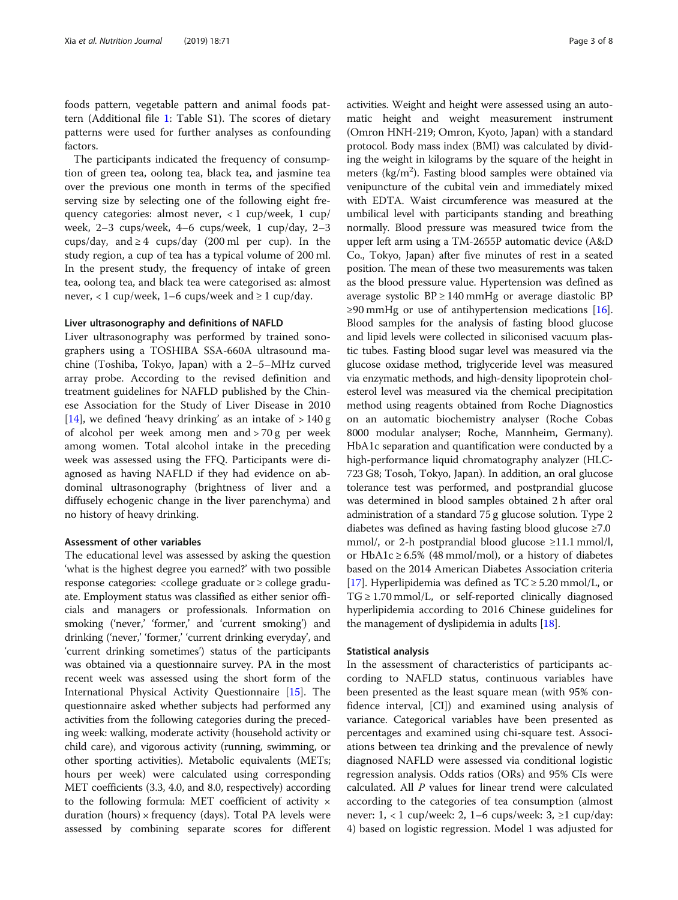foods pattern, vegetable pattern and animal foods pattern (Additional file [1:](#page-6-0) Table S1). The scores of dietary patterns were used for further analyses as confounding factors.

The participants indicated the frequency of consumption of green tea, oolong tea, black tea, and jasmine tea over the previous one month in terms of the specified serving size by selecting one of the following eight frequency categories: almost never, < 1 cup/week, 1 cup/ week, 2–3 cups/week, 4–6 cups/week, 1 cup/day, 2–3 cups/day, and  $\geq 4$  cups/day (200 ml per cup). In the study region, a cup of tea has a typical volume of 200 ml. In the present study, the frequency of intake of green tea, oolong tea, and black tea were categorised as: almost never, < 1 cup/week, 1–6 cups/week and  $\geq 1$  cup/day.

#### Liver ultrasonography and definitions of NAFLD

Liver ultrasonography was performed by trained sonographers using a TOSHIBA SSA-660A ultrasound machine (Toshiba, Tokyo, Japan) with a 2–5–MHz curved array probe. According to the revised definition and treatment guidelines for NAFLD published by the Chinese Association for the Study of Liver Disease in 2010 [[14\]](#page-6-0), we defined 'heavy drinking' as an intake of  $> 140 g$ of alcohol per week among men and > 70 g per week among women. Total alcohol intake in the preceding week was assessed using the FFQ. Participants were diagnosed as having NAFLD if they had evidence on abdominal ultrasonography (brightness of liver and a diffusely echogenic change in the liver parenchyma) and no history of heavy drinking.

#### Assessment of other variables

The educational level was assessed by asking the question 'what is the highest degree you earned?' with two possible response categories: <college graduate or ≥ college graduate. Employment status was classified as either senior officials and managers or professionals. Information on smoking ('never,' 'former,' and 'current smoking') and drinking ('never,' 'former,' 'current drinking everyday', and 'current drinking sometimes') status of the participants was obtained via a questionnaire survey. PA in the most recent week was assessed using the short form of the International Physical Activity Questionnaire [\[15\]](#page-6-0). The questionnaire asked whether subjects had performed any activities from the following categories during the preceding week: walking, moderate activity (household activity or child care), and vigorous activity (running, swimming, or other sporting activities). Metabolic equivalents (METs; hours per week) were calculated using corresponding MET coefficients (3.3, 4.0, and 8.0, respectively) according to the following formula: MET coefficient of activity  $\times$ duration (hours)  $\times$  frequency (days). Total PA levels were assessed by combining separate scores for different activities. Weight and height were assessed using an automatic height and weight measurement instrument (Omron HNH-219; Omron, Kyoto, Japan) with a standard protocol. Body mass index (BMI) was calculated by dividing the weight in kilograms by the square of the height in meters ( $\text{kg/m}^2$ ). Fasting blood samples were obtained via venipuncture of the cubital vein and immediately mixed with EDTA. Waist circumference was measured at the umbilical level with participants standing and breathing normally. Blood pressure was measured twice from the upper left arm using a TM-2655P automatic device (A&D Co., Tokyo, Japan) after five minutes of rest in a seated position. The mean of these two measurements was taken as the blood pressure value. Hypertension was defined as average systolic  $BP \ge 140$  mmHg or average diastolic BP ≥90 mmHg or use of antihypertension medications [[16](#page-6-0)]. Blood samples for the analysis of fasting blood glucose and lipid levels were collected in siliconised vacuum plastic tubes. Fasting blood sugar level was measured via the glucose oxidase method, triglyceride level was measured via enzymatic methods, and high-density lipoprotein cholesterol level was measured via the chemical precipitation method using reagents obtained from Roche Diagnostics on an automatic biochemistry analyser (Roche Cobas 8000 modular analyser; Roche, Mannheim, Germany). HbA1c separation and quantification were conducted by a high-performance liquid chromatography analyzer (HLC-723 G8; Tosoh, Tokyo, Japan). In addition, an oral glucose tolerance test was performed, and postprandial glucose was determined in blood samples obtained 2 h after oral administration of a standard 75 g glucose solution. Type 2 diabetes was defined as having fasting blood glucose ≥7.0 mmol/, or 2-h postprandial blood glucose ≥11.1 mmol/l, or HbA1c  $\geq$  6.5% (48 mmol/mol), or a history of diabetes based on the 2014 American Diabetes Association criteria [[17](#page-6-0)]. Hyperlipidemia was defined as TC ≥ 5.20 mmol/L, or  $TG \geq 1.70$  mmol/L, or self-reported clinically diagnosed hyperlipidemia according to 2016 Chinese guidelines for the management of dyslipidemia in adults [\[18](#page-6-0)].

#### Statistical analysis

In the assessment of characteristics of participants according to NAFLD status, continuous variables have been presented as the least square mean (with 95% confidence interval, [CI]) and examined using analysis of variance. Categorical variables have been presented as percentages and examined using chi-square test. Associations between tea drinking and the prevalence of newly diagnosed NAFLD were assessed via conditional logistic regression analysis. Odds ratios (ORs) and 95% CIs were calculated. All P values for linear trend were calculated according to the categories of tea consumption (almost never: 1, < 1 cup/week: 2, 1–6 cups/week: 3, ≥1 cup/day: 4) based on logistic regression. Model 1 was adjusted for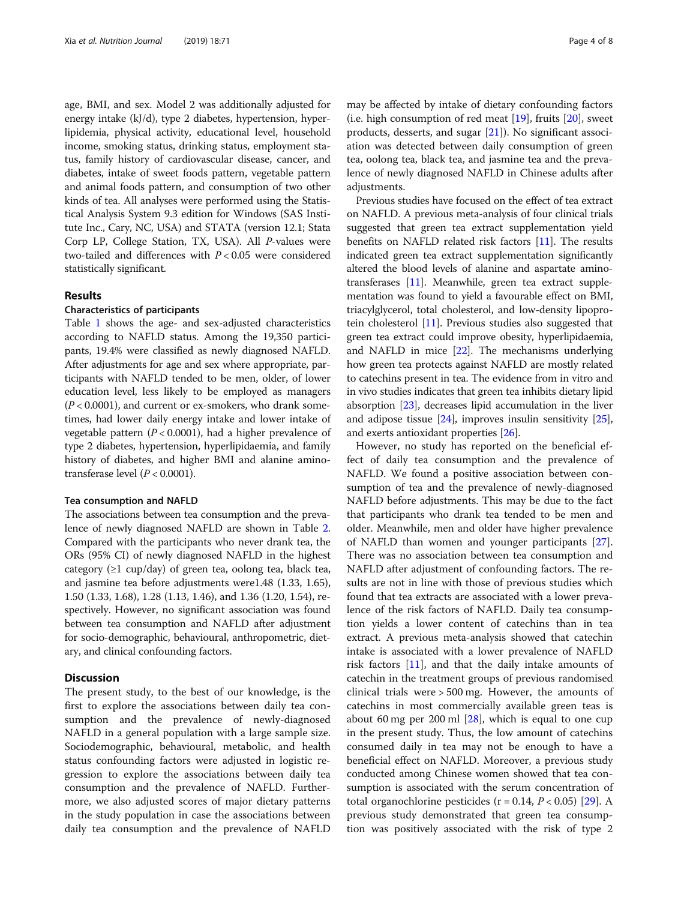age, BMI, and sex. Model 2 was additionally adjusted for energy intake (kJ/d), type 2 diabetes, hypertension, hyperlipidemia, physical activity, educational level, household income, smoking status, drinking status, employment status, family history of cardiovascular disease, cancer, and diabetes, intake of sweet foods pattern, vegetable pattern and animal foods pattern, and consumption of two other kinds of tea. All analyses were performed using the Statistical Analysis System 9.3 edition for Windows (SAS Institute Inc., Cary, NC, USA) and STATA (version 12.1; Stata Corp LP, College Station, TX, USA). All P-values were two-tailed and differences with  $P < 0.05$  were considered statistically significant.

#### Results

#### Characteristics of participants

Table [1](#page-4-0) shows the age- and sex-adjusted characteristics according to NAFLD status. Among the 19,350 participants, 19.4% were classified as newly diagnosed NAFLD. After adjustments for age and sex where appropriate, participants with NAFLD tended to be men, older, of lower education level, less likely to be employed as managers  $(P < 0.0001)$ , and current or ex-smokers, who drank sometimes, had lower daily energy intake and lower intake of vegetable pattern  $(P < 0.0001)$ , had a higher prevalence of type 2 diabetes, hypertension, hyperlipidaemia, and family history of diabetes, and higher BMI and alanine aminotransferase level  $(P < 0.0001)$ .

#### Tea consumption and NAFLD

The associations between tea consumption and the prevalence of newly diagnosed NAFLD are shown in Table [2](#page-5-0). Compared with the participants who never drank tea, the ORs (95% CI) of newly diagnosed NAFLD in the highest category  $(\geq 1$  cup/day) of green tea, oolong tea, black tea, and jasmine tea before adjustments were1.48 (1.33, 1.65), 1.50 (1.33, 1.68), 1.28 (1.13, 1.46), and 1.36 (1.20, 1.54), respectively. However, no significant association was found between tea consumption and NAFLD after adjustment for socio-demographic, behavioural, anthropometric, dietary, and clinical confounding factors.

### **Discussion**

The present study, to the best of our knowledge, is the first to explore the associations between daily tea consumption and the prevalence of newly-diagnosed NAFLD in a general population with a large sample size. Sociodemographic, behavioural, metabolic, and health status confounding factors were adjusted in logistic regression to explore the associations between daily tea consumption and the prevalence of NAFLD. Furthermore, we also adjusted scores of major dietary patterns in the study population in case the associations between daily tea consumption and the prevalence of NAFLD

may be affected by intake of dietary confounding factors (i.e. high consumption of red meat  $[19]$  $[19]$  $[19]$ , fruits  $[20]$  $[20]$ , sweet products, desserts, and sugar [\[21](#page-7-0)]). No significant association was detected between daily consumption of green tea, oolong tea, black tea, and jasmine tea and the prevalence of newly diagnosed NAFLD in Chinese adults after adjustments.

Previous studies have focused on the effect of tea extract on NAFLD. A previous meta-analysis of four clinical trials suggested that green tea extract supplementation yield benefits on NAFLD related risk factors [[11](#page-6-0)]. The results indicated green tea extract supplementation significantly altered the blood levels of alanine and aspartate aminotransferases [[11\]](#page-6-0). Meanwhile, green tea extract supplementation was found to yield a favourable effect on BMI, triacylglycerol, total cholesterol, and low-density lipoprotein cholesterol [[11](#page-6-0)]. Previous studies also suggested that green tea extract could improve obesity, hyperlipidaemia, and NAFLD in mice [[22](#page-7-0)]. The mechanisms underlying how green tea protects against NAFLD are mostly related to catechins present in tea. The evidence from in vitro and in vivo studies indicates that green tea inhibits dietary lipid absorption [\[23\]](#page-7-0), decreases lipid accumulation in the liver and adipose tissue  $[24]$ , improves insulin sensitivity  $[25]$  $[25]$  $[25]$ , and exerts antioxidant properties [\[26](#page-7-0)].

However, no study has reported on the beneficial effect of daily tea consumption and the prevalence of NAFLD. We found a positive association between consumption of tea and the prevalence of newly-diagnosed NAFLD before adjustments. This may be due to the fact that participants who drank tea tended to be men and older. Meanwhile, men and older have higher prevalence of NAFLD than women and younger participants [\[27](#page-7-0)]. There was no association between tea consumption and NAFLD after adjustment of confounding factors. The results are not in line with those of previous studies which found that tea extracts are associated with a lower prevalence of the risk factors of NAFLD. Daily tea consumption yields a lower content of catechins than in tea extract. A previous meta-analysis showed that catechin intake is associated with a lower prevalence of NAFLD risk factors  $[11]$  $[11]$  $[11]$ , and that the daily intake amounts of catechin in the treatment groups of previous randomised clinical trials were > 500 mg. However, the amounts of catechins in most commercially available green teas is about 60 mg per 200 ml [[28\]](#page-7-0), which is equal to one cup in the present study. Thus, the low amount of catechins consumed daily in tea may not be enough to have a beneficial effect on NAFLD. Moreover, a previous study conducted among Chinese women showed that tea consumption is associated with the serum concentration of total organochlorine pesticides ( $r = 0.14$ ,  $P < 0.05$ ) [\[29](#page-7-0)]. A previous study demonstrated that green tea consumption was positively associated with the risk of type 2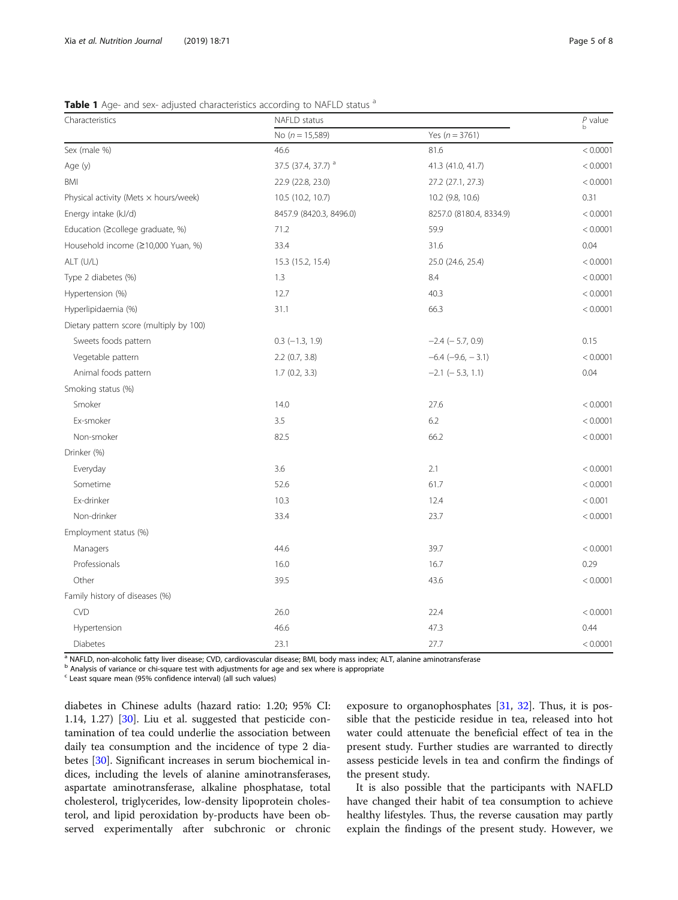<span id="page-4-0"></span>Table 1 Age- and sex- adjusted characteristics according to NAFLD status a

| Characteristics                         | NAFLD status                   |                         | $_{b}^{p}$ value |  |
|-----------------------------------------|--------------------------------|-------------------------|------------------|--|
|                                         | No ( $n = 15,589$ )            | Yes $(n = 3761)$        |                  |  |
| Sex (male %)                            | 46.6                           | 81.6                    | < 0.0001         |  |
| Age (y)                                 | 37.5 (37.4, 37.7) <sup>a</sup> | 41.3 (41.0, 41.7)       | < 0.0001         |  |
| <b>BMI</b>                              | 22.9 (22.8, 23.0)              | 27.2 (27.1, 27.3)       | < 0.0001         |  |
| Physical activity (Mets x hours/week)   | 10.5 (10.2, 10.7)              | 10.2 (9.8, 10.6)        | 0.31             |  |
| Energy intake (kJ/d)                    | 8457.9 (8420.3, 8496.0)        | 8257.0 (8180.4, 8334.9) | < 0.0001         |  |
| Education (≥college graduate, %)        | 71.2                           | 59.9                    | < 0.0001         |  |
| Household income (≥10,000 Yuan, %)      | 33.4                           | 31.6                    | 0.04             |  |
| ALT (U/L)                               | 15.3 (15.2, 15.4)              | 25.0 (24.6, 25.4)       | < 0.0001         |  |
| Type 2 diabetes (%)                     | 1.3                            | 8.4                     | < 0.0001         |  |
| Hypertension (%)                        | 12.7                           | 40.3                    | < 0.0001         |  |
| Hyperlipidaemia (%)                     | 31.1                           | 66.3                    | < 0.0001         |  |
| Dietary pattern score (multiply by 100) |                                |                         |                  |  |
| Sweets foods pattern                    | $0.3$ ( $-1.3$ , $1.9$ )       | $-2.4$ ( $-5.7$ , 0.9)  | 0.15             |  |
| Vegetable pattern                       | $2.2$ (0.7, 3.8)               | $-6.4$ $(-9.6, -3.1)$   | < 0.0001         |  |
| Animal foods pattern                    | 1.7(0.2, 3.3)                  | $-2.1$ ( $-5.3$ , 1.1)  | 0.04             |  |
| Smoking status (%)                      |                                |                         |                  |  |
| Smoker                                  | 14.0                           | 27.6                    | < 0.0001         |  |
| Ex-smoker                               | 3.5                            | 6.2                     | < 0.0001         |  |
| Non-smoker                              | 82.5                           | 66.2                    | < 0.0001         |  |
| Drinker (%)                             |                                |                         |                  |  |
| Everyday                                | 3.6                            | 2.1                     | < 0.0001         |  |
| Sometime                                | 52.6                           | 61.7                    | < 0.0001         |  |
| Ex-drinker                              | 10.3                           | 12.4                    | < 0.001          |  |
| Non-drinker                             | 33.4                           | 23.7                    | < 0.0001         |  |
| Employment status (%)                   |                                |                         |                  |  |
| Managers                                | 44.6                           | 39.7                    | < 0.0001         |  |
| Professionals                           | 16.0                           | 16.7                    | 0.29             |  |
| Other                                   | 39.5                           | 43.6                    | < 0.0001         |  |
| Family history of diseases (%)          |                                |                         |                  |  |
| <b>CVD</b>                              | 26.0                           | 22.4                    | < 0.0001         |  |
| Hypertension                            | 46.6                           | 47.3                    | 0.44             |  |
| <b>Diabetes</b>                         | 23.1                           | 27.7                    | < 0.0001         |  |

a NAFLD, non-alcoholic fatty liver disease; CVD, cardiovascular disease; BMI, body mass index; ALT, alanine aminotransferase

b Analysis of variance or chi-square test with adjustments for age and sex where is appropriate

<sup>c</sup> Least square mean (95% confidence interval) (all such values)

diabetes in Chinese adults (hazard ratio: 1.20; 95% CI: 1.14, 1.27) [\[30\]](#page-7-0). Liu et al. suggested that pesticide contamination of tea could underlie the association between daily tea consumption and the incidence of type 2 diabetes [[30\]](#page-7-0). Significant increases in serum biochemical indices, including the levels of alanine aminotransferases, aspartate aminotransferase, alkaline phosphatase, total cholesterol, triglycerides, low-density lipoprotein cholesterol, and lipid peroxidation by-products have been observed experimentally after subchronic or chronic

exposure to organophosphates [[31,](#page-7-0) [32\]](#page-7-0). Thus, it is possible that the pesticide residue in tea, released into hot water could attenuate the beneficial effect of tea in the present study. Further studies are warranted to directly assess pesticide levels in tea and confirm the findings of the present study.

It is also possible that the participants with NAFLD have changed their habit of tea consumption to achieve healthy lifestyles. Thus, the reverse causation may partly explain the findings of the present study. However, we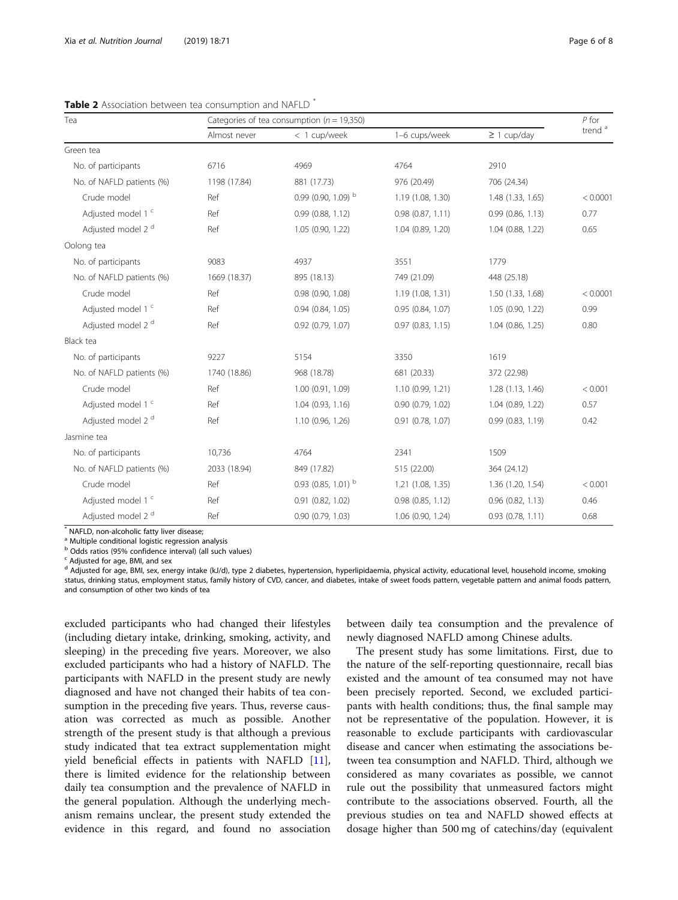| Tea                           | Categories of tea consumption ( $n = 19,350$ ) |                              |                   |                       | $P$ for            |
|-------------------------------|------------------------------------------------|------------------------------|-------------------|-----------------------|--------------------|
|                               | Almost never                                   | < 1 cup/week                 | 1-6 cups/week     | $\geq$ 1 cup/day      | trend <sup>a</sup> |
| Green tea                     |                                                |                              |                   |                       |                    |
| No. of participants           | 6716                                           | 4969                         | 4764              | 2910                  |                    |
| No. of NAFLD patients (%)     | 1198 (17.84)                                   | 881 (17.73)                  | 976 (20.49)       | 706 (24.34)           |                    |
| Crude model                   | Ref                                            | 0.99 (0.90, 1.09) $^{\rm b}$ | 1.19 (1.08, 1.30) | 1.48 (1.33, 1.65)     | < 0.0001           |
| Adjusted model 1 <sup>c</sup> | Ref                                            | 0.99(0.88, 1.12)             | 0.98(0.87, 1.11)  | 0.99(0.86, 1.13)      | 0.77               |
| Adjusted model 2 <sup>d</sup> | Ref                                            | 1.05 (0.90, 1.22)            | 1.04(0.89, 1.20)  | 1.04 (0.88, 1.22)     | 0.65               |
| Oolong tea                    |                                                |                              |                   |                       |                    |
| No. of participants           | 9083                                           | 4937                         | 3551              | 1779                  |                    |
| No. of NAFLD patients (%)     | 1669 (18.37)                                   | 895 (18.13)                  | 749 (21.09)       | 448 (25.18)           |                    |
| Crude model                   | Ref                                            | $0.98$ $(0.90, 1.08)$        | 1.19 (1.08, 1.31) | 1.50 (1.33, 1.68)     | < 0.0001           |
| Adjusted model 1 c            | Ref                                            | $0.94$ $(0.84, 1.05)$        | 0.95 (0.84, 1.07) | 1.05 (0.90, 1.22)     | 0.99               |
| Adjusted model 2 <sup>d</sup> | Ref                                            | $0.92$ $(0.79, 1.07)$        | 0.97(0.83, 1.15)  | $1.04$ $(0.86, 1.25)$ | 0.80               |
| Black tea                     |                                                |                              |                   |                       |                    |
| No. of participants           | 9227                                           | 5154                         | 3350              | 1619                  |                    |
| No. of NAFLD patients (%)     | 1740 (18.86)                                   | 968 (18.78)                  | 681 (20.33)       | 372 (22.98)           |                    |
| Crude model                   | Ref                                            | 1.00 (0.91, 1.09)            | 1.10(0.99, 1.21)  | 1.28(1.13, 1.46)      | < 0.001            |
| Adjusted model 1 c            | Ref                                            | 1.04(0.93, 1.16)             | 0.90(0.79, 1.02)  | 1.04 (0.89, 1.22)     | 0.57               |
| Adjusted model 2 <sup>d</sup> | Ref                                            | 1.10(0.96, 1.26)             | 0.91(0.78, 1.07)  | 0.99(0.83, 1.19)      | 0.42               |
| Jasmine tea                   |                                                |                              |                   |                       |                    |
| No. of participants           | 10,736                                         | 4764                         | 2341              | 1509                  |                    |
| No. of NAFLD patients (%)     | 2033 (18.94)                                   | 849 (17.82)                  | 515 (22.00)       | 364 (24.12)           |                    |
| Crude model                   | Ref                                            | 0.93 (0.85, 1.01) $^{\rm b}$ | 1.21(1.08, 1.35)  | 1.36 (1.20, 1.54)     | < 0.001            |
| Adjusted model 1 c            | Ref                                            | 0.91 (0.82, 1.02)            | 0.98(0.85, 1.12)  | $0.96$ $(0.82, 1.13)$ | 0.46               |
| Adjusted model 2 <sup>d</sup> | Ref                                            | 0.90(0.79, 1.03)             | 1.06 (0.90, 1.24) | 0.93 (0.78, 1.11)     | 0.68               |

<span id="page-5-0"></span>Table 2 Association between top consumption and NAFLD

\* NAFLD, non-alcoholic fatty liver disease;

<sup>a</sup> Multiple conditional logistic regression analysis

<sup>b</sup> Odds ratios (95% confidence interval) (all such values)

<sup>c</sup> Adjusted for age, BMI, and sex

<sup>d</sup> Adjusted for age, BMI, sex, energy intake (kJ/d), type 2 diabetes, hypertension, hyperlipidaemia, physical activity, educational level, household income, smoking status, drinking status, employment status, family history of CVD, cancer, and diabetes, intake of sweet foods pattern, vegetable pattern and animal foods pattern, and consumption of other two kinds of tea

excluded participants who had changed their lifestyles (including dietary intake, drinking, smoking, activity, and sleeping) in the preceding five years. Moreover, we also excluded participants who had a history of NAFLD. The participants with NAFLD in the present study are newly diagnosed and have not changed their habits of tea consumption in the preceding five years. Thus, reverse causation was corrected as much as possible. Another strength of the present study is that although a previous study indicated that tea extract supplementation might yield beneficial effects in patients with NAFLD [\[11](#page-6-0)], there is limited evidence for the relationship between daily tea consumption and the prevalence of NAFLD in the general population. Although the underlying mechanism remains unclear, the present study extended the evidence in this regard, and found no association

between daily tea consumption and the prevalence of newly diagnosed NAFLD among Chinese adults.

The present study has some limitations. First, due to the nature of the self-reporting questionnaire, recall bias existed and the amount of tea consumed may not have been precisely reported. Second, we excluded participants with health conditions; thus, the final sample may not be representative of the population. However, it is reasonable to exclude participants with cardiovascular disease and cancer when estimating the associations between tea consumption and NAFLD. Third, although we considered as many covariates as possible, we cannot rule out the possibility that unmeasured factors might contribute to the associations observed. Fourth, all the previous studies on tea and NAFLD showed effects at dosage higher than 500 mg of catechins/day (equivalent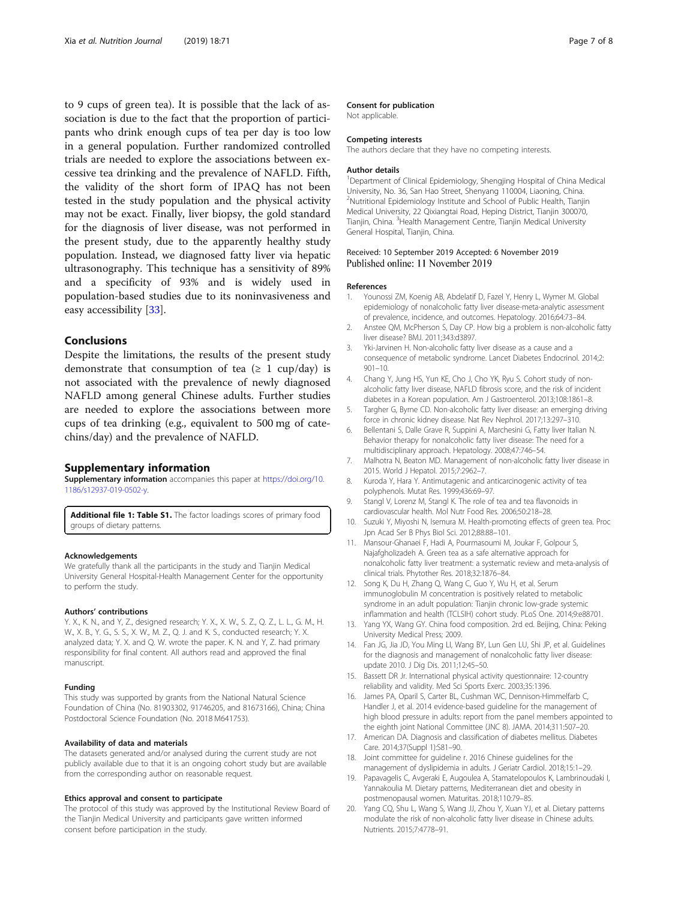<span id="page-6-0"></span>to 9 cups of green tea). It is possible that the lack of association is due to the fact that the proportion of participants who drink enough cups of tea per day is too low in a general population. Further randomized controlled trials are needed to explore the associations between excessive tea drinking and the prevalence of NAFLD. Fifth, the validity of the short form of IPAQ has not been tested in the study population and the physical activity may not be exact. Finally, liver biopsy, the gold standard for the diagnosis of liver disease, was not performed in the present study, due to the apparently healthy study population. Instead, we diagnosed fatty liver via hepatic ultrasonography. This technique has a sensitivity of 89% and a specificity of 93% and is widely used in population-based studies due to its noninvasiveness and easy accessibility [[33\]](#page-7-0).

#### Conclusions

Despite the limitations, the results of the present study demonstrate that consumption of tea  $(≥ 1 \text{ cup/day})$  is not associated with the prevalence of newly diagnosed NAFLD among general Chinese adults. Further studies are needed to explore the associations between more cups of tea drinking (e.g., equivalent to 500 mg of catechins/day) and the prevalence of NAFLD.

#### Supplementary information

Supplementary information accompanies this paper at [https://doi.org/10.](https://doi.org/10.1186/s12937-019-0502-y) [1186/s12937-019-0502-y](https://doi.org/10.1186/s12937-019-0502-y).

Additional file 1: Table S1. The factor loadings scores of primary food groups of dietary patterns.

#### Acknowledgements

We gratefully thank all the participants in the study and Tianjin Medical University General Hospital-Health Management Center for the opportunity to perform the study.

#### Authors' contributions

Y. X., K. N., and Y, Z., designed research; Y. X., X. W., S. Z., Q. Z., L. L., G. M., H. W., X. B., Y. G., S. S., X. W., M. Z., Q. J. and K. S., conducted research; Y. X. analyzed data; Y. X. and Q. W. wrote the paper. K. N. and Y, Z. had primary responsibility for final content. All authors read and approved the final manuscript.

#### Funding

This study was supported by grants from the National Natural Science Foundation of China (No. 81903302, 91746205, and 81673166), China; China Postdoctoral Science Foundation (No. 2018 M641753).

#### Availability of data and materials

The datasets generated and/or analysed during the current study are not publicly available due to that it is an ongoing cohort study but are available from the corresponding author on reasonable request.

#### Ethics approval and consent to participate

The protocol of this study was approved by the Institutional Review Board of the Tianjin Medical University and participants gave written informed consent before participation in the study.

#### Consent for publication

Not applicable.

#### Competing interests

The authors declare that they have no competing interests.

#### Author details

<sup>1</sup>Department of Clinical Epidemiology, Shengjing Hospital of China Medical University, No. 36, San Hao Street, Shenyang 110004, Liaoning, China. 2 Nutritional Epidemiology Institute and School of Public Health, Tianjin Medical University, 22 Qixiangtai Road, Heping District, Tianjin 300070, Tianjin, China. <sup>3</sup>Health Management Centre, Tianjin Medical University General Hospital, Tianjin, China.

#### Received: 10 September 2019 Accepted: 6 November 2019 Published online: 11 November 2019

#### References

- 1. Younossi ZM, Koenig AB, Abdelatif D, Fazel Y, Henry L, Wymer M. Global epidemiology of nonalcoholic fatty liver disease-meta-analytic assessment of prevalence, incidence, and outcomes. Hepatology. 2016;64:73–84.
- 2. Anstee QM, McPherson S, Day CP. How big a problem is non-alcoholic fatty liver disease? BMJ. 2011;343:d3897.
- 3. Yki-Jarvinen H. Non-alcoholic fatty liver disease as a cause and a consequence of metabolic syndrome. Lancet Diabetes Endocrinol. 2014;2: 901–10.
- 4. Chang Y, Jung HS, Yun KE, Cho J, Cho YK, Ryu S. Cohort study of nonalcoholic fatty liver disease, NAFLD fibrosis score, and the risk of incident diabetes in a Korean population. Am J Gastroenterol. 2013;108:1861–8.
- 5. Targher G, Byrne CD. Non-alcoholic fatty liver disease: an emerging driving force in chronic kidney disease. Nat Rev Nephrol. 2017;13:297–310.
- 6. Bellentani S, Dalle Grave R, Suppini A, Marchesini G, Fatty liver Italian N. Behavior therapy for nonalcoholic fatty liver disease: The need for a multidisciplinary approach. Hepatology. 2008;47:746–54.
- 7. Malhotra N, Beaton MD. Management of non-alcoholic fatty liver disease in 2015. World J Hepatol. 2015;7:2962–7.
- 8. Kuroda Y, Hara Y. Antimutagenic and anticarcinogenic activity of tea polyphenols. Mutat Res. 1999;436:69–97.
- 9. Stangl V, Lorenz M, Stangl K. The role of tea and tea flavonoids in cardiovascular health. Mol Nutr Food Res. 2006;50:218–28.
- 10. Suzuki Y, Miyoshi N, Isemura M. Health-promoting effects of green tea. Proc Jpn Acad Ser B Phys Biol Sci. 2012;88:88–101.
- 11. Mansour-Ghanaei F, Hadi A, Pourmasoumi M, Joukar F, Golpour S, Najafgholizadeh A. Green tea as a safe alternative approach for nonalcoholic fatty liver treatment: a systematic review and meta-analysis of clinical trials. Phytother Res. 2018;32:1876–84.
- 12. Song K, Du H, Zhang Q, Wang C, Guo Y, Wu H, et al. Serum immunoglobulin M concentration is positively related to metabolic syndrome in an adult population: Tianjin chronic low-grade systemic inflammation and health (TCLSIH) cohort study. PLoS One. 2014;9:e88701.
- 13. Yang YX, Wang GY. China food composition. 2rd ed. Beijing, China: Peking University Medical Press; 2009.
- 14. Fan JG, Jia JD, You Ming LI, Wang BY, Lun Gen LU, Shi JP, et al. Guidelines for the diagnosis and management of nonalcoholic fatty liver disease: update 2010. J Dig Dis. 2011;12:45–50.
- 15. Bassett DR Jr. International physical activity questionnaire: 12-country reliability and validity. Med Sci Sports Exerc. 2003;35:1396.
- 16. James PA, Oparil S, Carter BL, Cushman WC, Dennison-Himmelfarb C, Handler J, et al. 2014 evidence-based guideline for the management of high blood pressure in adults: report from the panel members appointed to the eighth joint National Committee (JNC 8). JAMA. 2014;311:507–20.
- 17. American DA. Diagnosis and classification of diabetes mellitus. Diabetes Care. 2014;37(Suppl 1):S81–90.
- 18. Joint committee for guideline r. 2016 Chinese guidelines for the management of dyslipidemia in adults. J Geriatr Cardiol. 2018;15:1–29.
- 19. Papavagelis C, Avgeraki E, Augoulea A, Stamatelopoulos K, Lambrinoudaki I, Yannakoulia M. Dietary patterns, Mediterranean diet and obesity in postmenopausal women. Maturitas. 2018;110:79–85.
- 20. Yang CQ, Shu L, Wang S, Wang JJ, Zhou Y, Xuan YJ, et al. Dietary patterns modulate the risk of non-alcoholic fatty liver disease in Chinese adults. Nutrients. 2015;7:4778–91.